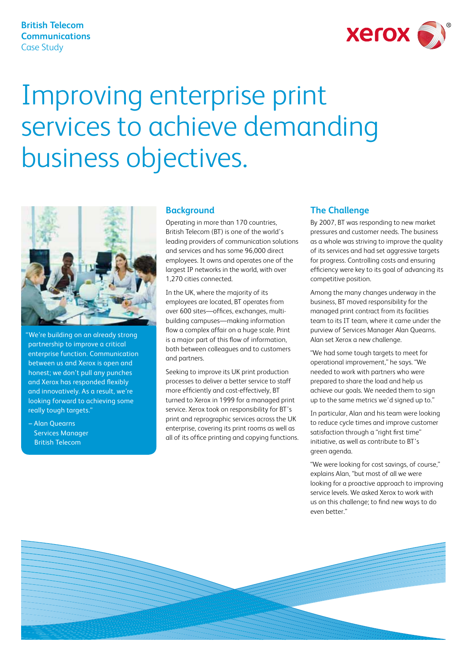### **British Telecom Communications**  Case Study



# Improving enterprise print services to achieve demanding business objectives.



"We're building on an already strong partnership to improve a critical enterprise function. Communication between us and Xerox is open and honest; we don't pull any punches and Xerox has responded flexibly and innovatively. As a result, we're looking forward to achieving some really tough targets."

– Alan Quearns Services Manager British Telecom

#### **Background**

Operating in more than 170 countries, British Telecom (BT) is one of the world's leading providers of communication solutions and services and has some 96,000 direct employees. It owns and operates one of the largest IP networks in the world, with over 1,270 cities connected.

In the UK, where the majority of its employees are located, BT operates from over 600 sites—offices, exchanges, multibuilding campuses—making information flow a complex affair on a huge scale. Print is a major part of this flow of information, both between colleagues and to customers and partners.

Seeking to improve its UK print production processes to deliver a better service to staff more efficiently and cost-effectively, BT turned to Xerox in 1999 for a managed print service. Xerox took on responsibility for BT's print and reprographic services across the UK enterprise, covering its print rooms as well as all of its office printing and copying functions.

#### **The Challenge**

By 2007, BT was responding to new market pressures and customer needs. The business as a whole was striving to improve the quality of its services and had set aggressive targets for progress. Controlling costs and ensuring efficiency were key to its goal of advancing its competitive position.

Among the many changes underway in the business, BT moved responsibility for the managed print contract from its facilities team to its IT team, where it came under the purview of Services Manager Alan Quearns. Alan set Xerox a new challenge.

"We had some tough targets to meet for operational improvement," he says. "We needed to work with partners who were prepared to share the load and help us achieve our goals. We needed them to sign up to the same metrics we'd signed up to."

In particular, Alan and his team were looking to reduce cycle times and improve customer satisfaction through a "right first time" initiative, as well as contribute to BT's green agenda.

"We were looking for cost savings, of course," explains Alan, "but most of all we were looking for a proactive approach to improving service levels. We asked Xerox to work with us on this challenge; to find new ways to do even better."